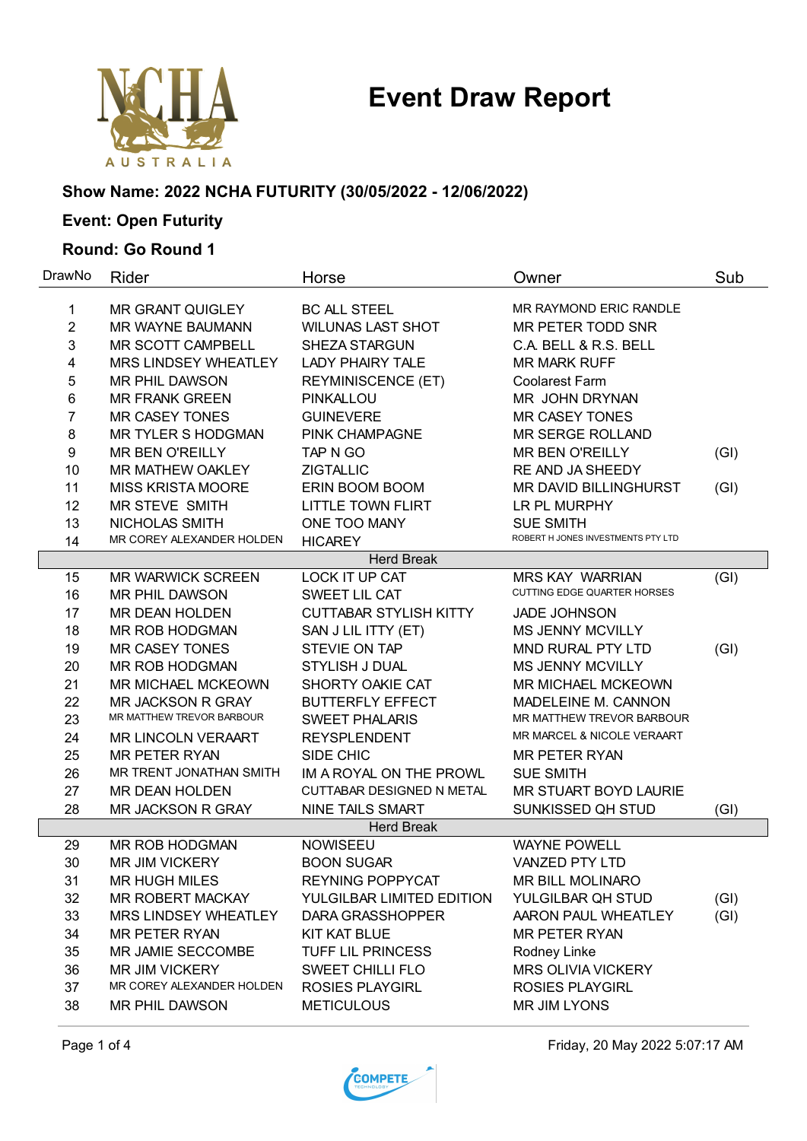## **Event Draw Report**



### **Show Name: 2022 NCHA FUTURITY (30/05/2022 - 12/06/2022)**

### **Event: Open Futurity**

#### **Round: Go Round 1**

| DrawNo              | Rider                                                 | Horse                                | Owner                                                  | Sub  |
|---------------------|-------------------------------------------------------|--------------------------------------|--------------------------------------------------------|------|
|                     | MR GRANT QUIGLEY                                      | <b>BC ALL STEEL</b>                  | MR RAYMOND ERIC RANDLE                                 |      |
| 1<br>$\overline{2}$ | MR WAYNE BAUMANN                                      | <b>WILUNAS LAST SHOT</b>             | MR PETER TODD SNR                                      |      |
| 3                   | <b>MR SCOTT CAMPBELL</b>                              | <b>SHEZA STARGUN</b>                 | C.A. BELL & R.S. BELL                                  |      |
| 4                   | MRS LINDSEY WHEATLEY                                  | <b>LADY PHAIRY TALE</b>              | <b>MR MARK RUFF</b>                                    |      |
| 5                   | MR PHIL DAWSON                                        |                                      | <b>Coolarest Farm</b>                                  |      |
| 6                   | <b>MR FRANK GREEN</b>                                 | <b>REYMINISCENCE (ET)</b>            | MR JOHN DRYNAN                                         |      |
| 7                   | <b>MR CASEY TONES</b>                                 | <b>PINKALLOU</b><br><b>GUINEVERE</b> | <b>MR CASEY TONES</b>                                  |      |
| 8                   | MR TYLER S HODGMAN                                    | PINK CHAMPAGNE                       | MR SERGE ROLLAND                                       |      |
| 9                   | <b>MR BEN O'REILLY</b>                                | TAP N GO                             | <b>MR BEN O'REILLY</b>                                 |      |
| 10                  | MR MATHEW OAKLEY                                      | <b>ZIGTALLIC</b>                     | RE AND JA SHEEDY                                       | (GI) |
| 11                  | <b>MISS KRISTA MOORE</b>                              |                                      | MR DAVID BILLINGHURST                                  |      |
|                     | <b>MR STEVE SMITH</b>                                 | ERIN BOOM BOOM                       |                                                        | (GI) |
| 12                  |                                                       | <b>LITTLE TOWN FLIRT</b>             | LR PL MURPHY                                           |      |
| 13                  | NICHOLAS SMITH<br>MR COREY ALEXANDER HOLDEN           | ONE TOO MANY                         | <b>SUE SMITH</b><br>ROBERT H JONES INVESTMENTS PTY LTD |      |
| 14                  |                                                       | <b>HICAREY</b>                       |                                                        |      |
|                     |                                                       | <b>Herd Break</b>                    |                                                        |      |
| 15                  | <b>MR WARWICK SCREEN</b>                              | LOCK IT UP CAT                       | <b>MRS KAY WARRIAN</b><br>CUTTING EDGE QUARTER HORSES  | (GI) |
| 16                  | MR PHIL DAWSON                                        | SWEET LIL CAT                        |                                                        |      |
| 17                  | MR DEAN HOLDEN                                        | <b>CUTTABAR STYLISH KITTY</b>        | <b>JADE JOHNSON</b>                                    |      |
| 18                  | MR ROB HODGMAN                                        | SAN J LIL ITTY (ET)                  | <b>MS JENNY MCVILLY</b>                                |      |
| 19                  | <b>MR CASEY TONES</b>                                 | STEVIE ON TAP                        | MND RURAL PTY LTD                                      | (GI) |
| 20                  | MR ROB HODGMAN                                        | <b>STYLISH J DUAL</b>                | <b>MS JENNY MCVILLY</b>                                |      |
| 21                  | <b>MR MICHAEL MCKEOWN</b>                             | SHORTY OAKIE CAT                     | <b>MR MICHAEL MCKEOWN</b>                              |      |
| 22                  | <b>MR JACKSON R GRAY</b><br>MR MATTHEW TREVOR BARBOUR | <b>BUTTERFLY EFFECT</b>              | MADELEINE M. CANNON<br>MR MATTHEW TREVOR BARBOUR       |      |
| 23                  |                                                       | <b>SWEET PHALARIS</b>                | MR MARCEL & NICOLE VERAART                             |      |
| 24                  | MR LINCOLN VERAART                                    | <b>REYSPLENDENT</b>                  |                                                        |      |
| 25                  | <b>MR PETER RYAN</b>                                  | SIDE CHIC                            | <b>MR PETER RYAN</b>                                   |      |
| 26                  | MR TRENT JONATHAN SMITH                               | IM A ROYAL ON THE PROWL              | <b>SUE SMITH</b>                                       |      |
| 27                  | <b>MR DEAN HOLDEN</b>                                 | CUTTABAR DESIGNED N METAL            | MR STUART BOYD LAURIE                                  |      |
| 28                  | MR JACKSON R GRAY                                     | <b>NINE TAILS SMART</b>              | SUNKISSED QH STUD                                      | (GI) |
|                     |                                                       | <b>Herd Break</b>                    |                                                        |      |
| 29                  | MR ROB HODGMAN                                        | <b>NOWISEEU</b>                      | <b>WAYNE POWELL</b>                                    |      |
| 30                  | <b>MR JIM VICKERY</b>                                 | <b>BOON SUGAR</b>                    | <b>VANZED PTY LTD</b>                                  |      |
| 31                  | <b>MR HUGH MILES</b>                                  | <b>REYNING POPPYCAT</b>              | MR BILL MOLINARO                                       |      |
| 32                  | MR ROBERT MACKAY                                      | YULGILBAR LIMITED EDITION            | YULGILBAR QH STUD                                      | (GI) |
| 33                  | MRS LINDSEY WHEATLEY                                  | DARA GRASSHOPPER                     | AARON PAUL WHEATLEY                                    | (GI) |
| 34                  | <b>MR PETER RYAN</b>                                  | <b>KIT KAT BLUE</b>                  | <b>MR PETER RYAN</b>                                   |      |
| 35                  | MR JAMIE SECCOMBE                                     | TUFF LIL PRINCESS                    | Rodney Linke                                           |      |
| 36                  | <b>MR JIM VICKERY</b>                                 | <b>SWEET CHILLI FLO</b>              | <b>MRS OLIVIA VICKERY</b>                              |      |
| 37                  | MR COREY ALEXANDER HOLDEN                             | <b>ROSIES PLAYGIRL</b>               | <b>ROSIES PLAYGIRL</b>                                 |      |
| 38                  | MR PHIL DAWSON                                        | <b>METICULOUS</b>                    | MR JIM LYONS                                           |      |

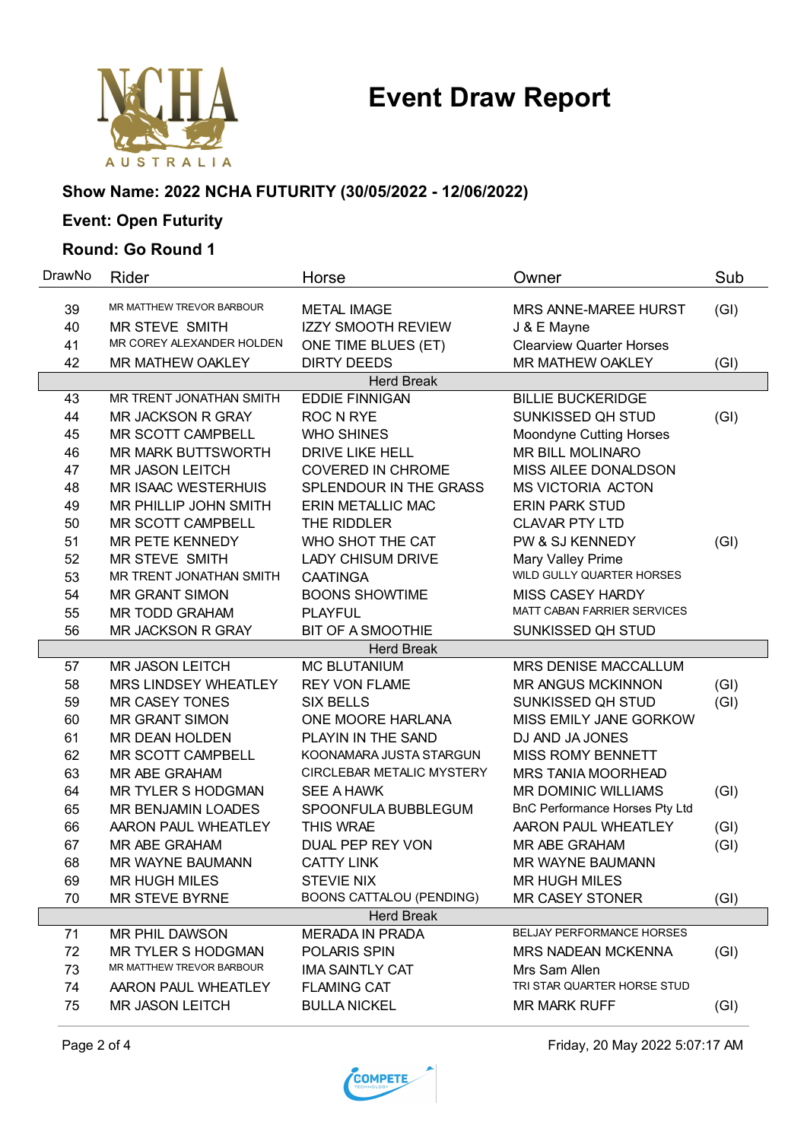



### **Show Name: 2022 NCHA FUTURITY (30/05/2022 - 12/06/2022)**

### **Event: Open Futurity**

#### **Round: Go Round 1**

| DrawNo            | Rider                                           | Horse                           | Owner                              | Sub  |
|-------------------|-------------------------------------------------|---------------------------------|------------------------------------|------|
| 39                | MR MATTHEW TREVOR BARBOUR                       | <b>METAL IMAGE</b>              | MRS ANNE-MAREE HURST               | (GI) |
| 40                | MR STEVE SMITH                                  | <b>IZZY SMOOTH REVIEW</b>       | J & E Mayne                        |      |
| 41                | MR COREY ALEXANDER HOLDEN                       | ONE TIME BLUES (ET)             | <b>Clearview Quarter Horses</b>    |      |
| 42                | MR MATHEW OAKLEY                                | <b>DIRTY DEEDS</b>              | MR MATHEW OAKLEY                   | (GI) |
|                   |                                                 | <b>Herd Break</b>               |                                    |      |
| 43                | MR TRENT JONATHAN SMITH                         | <b>EDDIE FINNIGAN</b>           | <b>BILLIE BUCKERIDGE</b>           |      |
| 44                | <b>MR JACKSON R GRAY</b>                        | <b>ROC N RYE</b>                | SUNKISSED QH STUD                  | (GI) |
| 45                | MR SCOTT CAMPBELL                               | <b>WHO SHINES</b>               | <b>Moondyne Cutting Horses</b>     |      |
| 46                | <b>MR MARK BUTTSWORTH</b>                       | <b>DRIVE LIKE HELL</b>          | MR BILL MOLINARO                   |      |
| 47                | <b>MR JASON LEITCH</b>                          | <b>COVERED IN CHROME</b>        | MISS AILEE DONALDSON               |      |
| 48                | <b>MR ISAAC WESTERHUIS</b>                      | SPLENDOUR IN THE GRASS          | <b>MS VICTORIA ACTON</b>           |      |
| 49                | MR PHILLIP JOHN SMITH                           | <b>ERIN METALLIC MAC</b>        | <b>ERIN PARK STUD</b>              |      |
| 50                | MR SCOTT CAMPBELL                               | THE RIDDLER                     | <b>CLAVAR PTY LTD</b>              |      |
| 51                | MR PETE KENNEDY                                 | WHO SHOT THE CAT                | PW & SJ KENNEDY                    | (GI) |
| 52                | <b>MR STEVE SMITH</b>                           | <b>LADY CHISUM DRIVE</b>        | Mary Valley Prime                  |      |
| 53                | MR TRENT JONATHAN SMITH                         | <b>CAATINGA</b>                 | WILD GULLY QUARTER HORSES          |      |
| 54                | <b>MR GRANT SIMON</b>                           | <b>BOONS SHOWTIME</b>           | <b>MISS CASEY HARDY</b>            |      |
| 55                | <b>MR TODD GRAHAM</b>                           | <b>PLAYFUL</b>                  | <b>MATT CABAN FARRIER SERVICES</b> |      |
| 56                | <b>MR JACKSON R GRAY</b>                        | <b>BIT OF A SMOOTHIE</b>        | SUNKISSED QH STUD                  |      |
|                   |                                                 | <b>Herd Break</b>               |                                    |      |
| 57                | <b>MR JASON LEITCH</b>                          | <b>MC BLUTANIUM</b>             | MRS DENISE MACCALLUM               |      |
| 58                | MRS LINDSEY WHEATLEY                            | <b>REY VON FLAME</b>            | <b>MR ANGUS MCKINNON</b>           | (GI) |
| 59                | <b>MR CASEY TONES</b>                           | <b>SIX BELLS</b>                | SUNKISSED QH STUD                  | (GI) |
| 60                | MR GRANT SIMON                                  | ONE MOORE HARLANA               | MISS EMILY JANE GORKOW             |      |
| 61                | MR DEAN HOLDEN                                  | PLAYIN IN THE SAND              | DJ AND JA JONES                    |      |
| 62                | MR SCOTT CAMPBELL                               | KOONAMARA JUSTA STARGUN         | <b>MISS ROMY BENNETT</b>           |      |
| 63                | MR ABE GRAHAM                                   | CIRCLEBAR METALIC MYSTERY       | MRS TANIA MOORHEAD                 |      |
| 64                | <b>MR TYLER S HODGMAN</b>                       | <b>SEE A HAWK</b>               | MR DOMINIC WILLIAMS                | (GI) |
| 65                | MR BENJAMIN LOADES                              | SPOONFULA BUBBLEGUM             | BnC Performance Horses Pty Ltd     |      |
| 66                | AARON PAUL WHEATLEY                             | THIS WRAE                       | AARON PAUL WHEATLEY                | (GI) |
| 67                | MR ABE GRAHAM                                   | DUAL PEP REY VON                | MR ABE GRAHAM                      | (GI) |
| 68                | <b>MR WAYNE BAUMANN</b>                         | <b>CATTY LINK</b>               | <b>MR WAYNE BAUMANN</b>            |      |
| 69                | <b>MR HUGH MILES</b>                            | <b>STEVIE NIX</b>               | <b>MR HUGH MILES</b>               |      |
| 70                | <b>MR STEVE BYRNE</b>                           | <b>BOONS CATTALOU (PENDING)</b> | <b>MR CASEY STONER</b>             | (GI) |
| <b>Herd Break</b> |                                                 |                                 |                                    |      |
| 71                | MR PHIL DAWSON                                  | <b>MERADA IN PRADA</b>          | BELJAY PERFORMANCE HORSES          |      |
| 72                | MR TYLER S HODGMAN<br>MR MATTHEW TREVOR BARBOUR | POLARIS SPIN                    | <b>MRS NADEAN MCKENNA</b>          | (GI) |
| 73                |                                                 | <b>IMA SAINTLY CAT</b>          | Mrs Sam Allen                      |      |
| 74                | AARON PAUL WHEATLEY                             | <b>FLAMING CAT</b>              | TRI STAR QUARTER HORSE STUD        |      |
| 75                | <b>MR JASON LEITCH</b>                          | <b>BULLA NICKEL</b>             | <b>MR MARK RUFF</b>                | (GI) |



Page 2 of 4 Friday, 20 May 2022 5:07:17 AM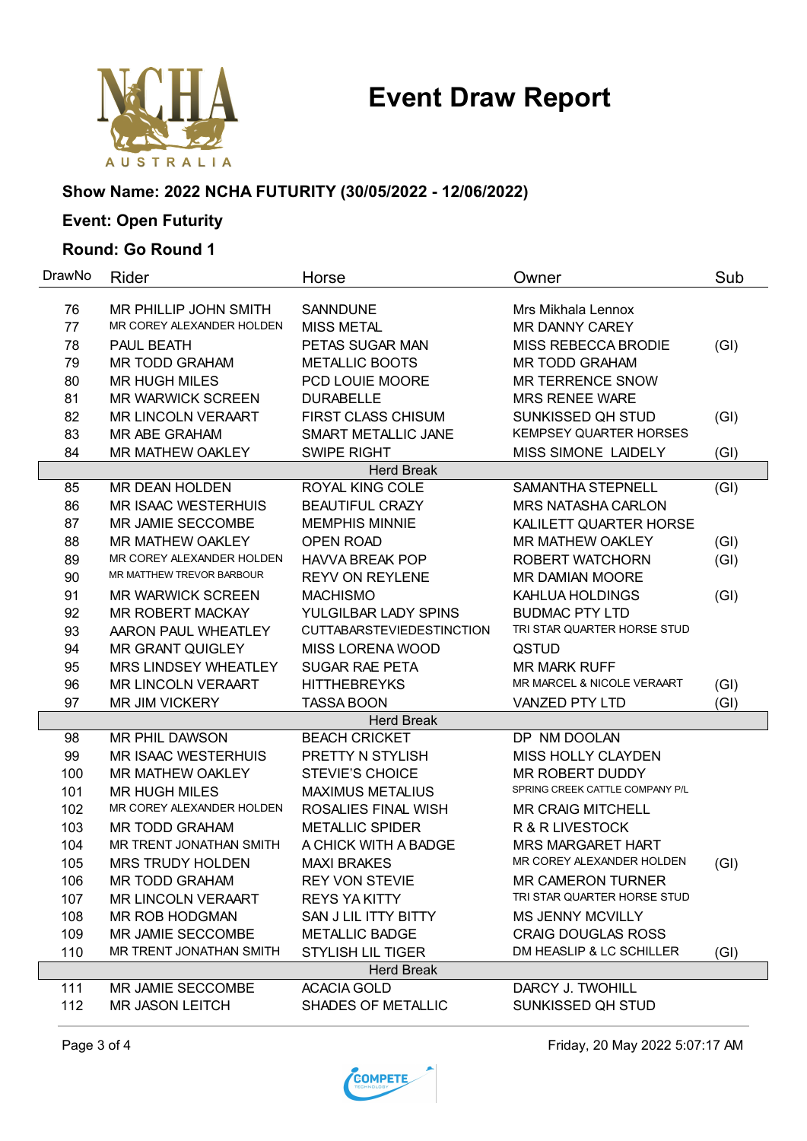## **Event Draw Report**



#### **Show Name: 2022 NCHA FUTURITY (30/05/2022 - 12/06/2022)**

### **Event: Open Futurity**

#### **Round: Go Round 1**

| DrawNo            | Rider                      | Horse                            | Owner                           | Sub  |
|-------------------|----------------------------|----------------------------------|---------------------------------|------|
| 76                | MR PHILLIP JOHN SMITH      | <b>SANNDUNE</b>                  | Mrs Mikhala Lennox              |      |
| 77                | MR COREY ALEXANDER HOLDEN  | <b>MISS METAL</b>                | <b>MR DANNY CAREY</b>           |      |
| 78                | PAUL BEATH                 | PETAS SUGAR MAN                  | MISS REBECCA BRODIE             | (GI) |
| 79                | MR TODD GRAHAM             | <b>METALLIC BOOTS</b>            | <b>MR TODD GRAHAM</b>           |      |
| 80                | <b>MR HUGH MILES</b>       | PCD LOUIE MOORE                  | <b>MR TERRENCE SNOW</b>         |      |
| 81                | <b>MR WARWICK SCREEN</b>   | <b>DURABELLE</b>                 | <b>MRS RENEE WARE</b>           |      |
| 82                | MR LINCOLN VERAART         | <b>FIRST CLASS CHISUM</b>        | SUNKISSED QH STUD               | (GI) |
| 83                | MR ABE GRAHAM              | SMART METALLIC JANE              | <b>KEMPSEY QUARTER HORSES</b>   |      |
| 84                | <b>MR MATHEW OAKLEY</b>    | <b>SWIPE RIGHT</b>               | MISS SIMONE LAIDELY             | (GI) |
|                   |                            | <b>Herd Break</b>                |                                 |      |
| 85                | MR DEAN HOLDEN             | ROYAL KING COLE                  | SAMANTHA STEPNELL               | (GI) |
| 86                | <b>MR ISAAC WESTERHUIS</b> | <b>BEAUTIFUL CRAZY</b>           | <b>MRS NATASHA CARLON</b>       |      |
| 87                | MR JAMIE SECCOMBE          | <b>MEMPHIS MINNIE</b>            | KALILETT QUARTER HORSE          |      |
| 88                | <b>MR MATHEW OAKLEY</b>    | <b>OPEN ROAD</b>                 | <b>MR MATHEW OAKLEY</b>         | (GI) |
| 89                | MR COREY ALEXANDER HOLDEN  | <b>HAVVA BREAK POP</b>           | ROBERT WATCHORN                 | (GI) |
| 90                | MR MATTHEW TREVOR BARBOUR  | <b>REYV ON REYLENE</b>           | <b>MR DAMIAN MOORE</b>          |      |
| 91                | <b>MR WARWICK SCREEN</b>   | <b>MACHISMO</b>                  | KAHLUA HOLDINGS                 | (GI) |
| 92                | <b>MR ROBERT MACKAY</b>    | YULGILBAR LADY SPINS             | <b>BUDMAC PTY LTD</b>           |      |
| 93                | AARON PAUL WHEATLEY        | <b>CUTTABARSTEVIEDESTINCTION</b> | TRI STAR QUARTER HORSE STUD     |      |
| 94                | <b>MR GRANT QUIGLEY</b>    | MISS LORENA WOOD                 | QSTUD                           |      |
| 95                | MRS LINDSEY WHEATLEY       | <b>SUGAR RAE PETA</b>            | <b>MR MARK RUFF</b>             |      |
| 96                | <b>MR LINCOLN VERAART</b>  | <b>HITTHEBREYKS</b>              | MR MARCEL & NICOLE VERAART      | (GI) |
| 97                | <b>MR JIM VICKERY</b>      | <b>TASSA BOON</b>                | <b>VANZED PTY LTD</b>           | (GI) |
|                   |                            | <b>Herd Break</b>                |                                 |      |
| 98                | MR PHIL DAWSON             | <b>BEACH CRICKET</b>             | DP NM DOOLAN                    |      |
| 99                | <b>MR ISAAC WESTERHUIS</b> | PRETTY N STYLISH                 | MISS HOLLY CLAYDEN              |      |
| 100               | <b>MR MATHEW OAKLEY</b>    | <b>STEVIE'S CHOICE</b>           | <b>MR ROBERT DUDDY</b>          |      |
| 101               | <b>MR HUGH MILES</b>       | <b>MAXIMUS METALIUS</b>          | SPRING CREEK CATTLE COMPANY P/L |      |
| 102               | MR COREY ALEXANDER HOLDEN  | ROSALIES FINAL WISH              | <b>MR CRAIG MITCHELL</b>        |      |
| 103               | <b>MR TODD GRAHAM</b>      | <b>METALLIC SPIDER</b>           | R & R LIVESTOCK                 |      |
| 104               | MR TRENT JONATHAN SMITH    | A CHICK WITH A BADGE             | <b>MRS MARGARET HART</b>        |      |
| 105               | <b>MRS TRUDY HOLDEN</b>    | <b>MAXI BRAKES</b>               | MR COREY ALEXANDER HOLDEN       | (GI) |
| 106               | MR TODD GRAHAM             | <b>REY VON STEVIE</b>            | <b>MR CAMERON TURNER</b>        |      |
| 107               | <b>MR LINCOLN VERAART</b>  | <b>REYS YAKITTY</b>              | TRI STAR QUARTER HORSE STUD     |      |
| 108               | MR ROB HODGMAN             | SAN J LIL ITTY BITTY             | <b>MS JENNY MCVILLY</b>         |      |
| 109               | MR JAMIE SECCOMBE          | <b>METALLIC BADGE</b>            | <b>CRAIG DOUGLAS ROSS</b>       |      |
| 110               | MR TRENT JONATHAN SMITH    | STYLISH LIL TIGER                | DM HEASLIP & LC SCHILLER        | (GI) |
| <b>Herd Break</b> |                            |                                  |                                 |      |
| 111               | MR JAMIE SECCOMBE          | <b>ACACIA GOLD</b>               | DARCY J. TWOHILL                |      |
| 112               | <b>MR JASON LEITCH</b>     | SHADES OF METALLIC               | SUNKISSED QH STUD               |      |